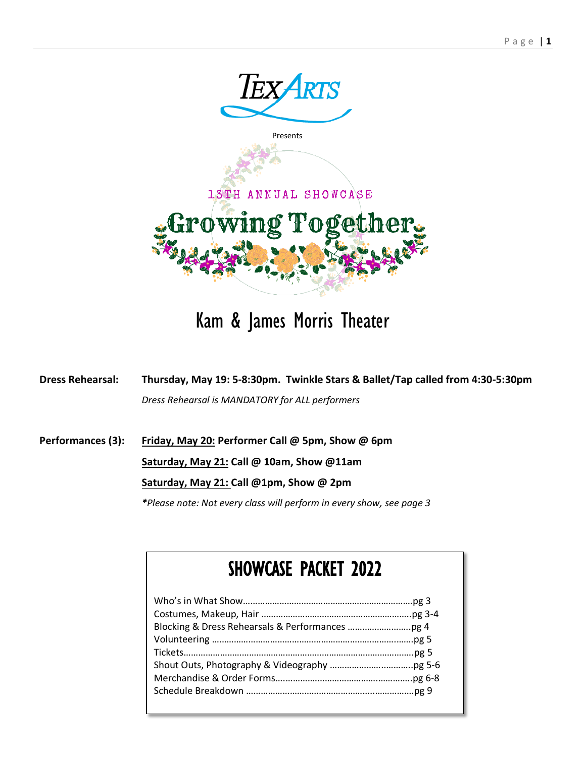

## Kam & James Morris Theater

**Dress Rehearsal: Thursday, May 19: 5-8:30pm. Twinkle Stars & Ballet/Tap called from 4:30-5:30pm** *Dress Rehearsal is MANDATORY for ALL performers*

**Performances (3): Friday, May 20: Performer Call @ 5pm, Show @ 6pm**

**Saturday, May 21: Call @ 10am, Show @11am** 

#### **Saturday, May 21: Call @1pm, Show @ 2pm**

*\*Please note: Not every class will perform in every show, see page 3*

## SHOWCASE PACKET 2022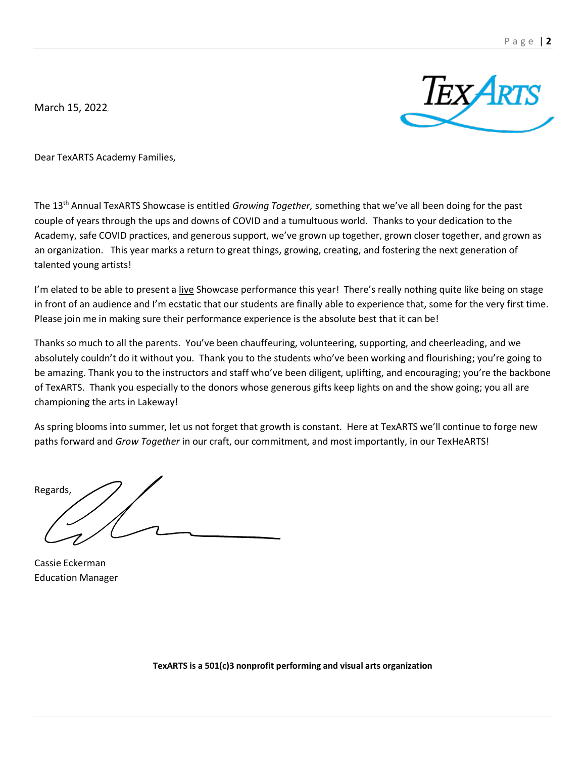March 15, 2022,



Dear TexARTS Academy Families,

The 13th Annual TexARTS Showcase is entitled *Growing Together,* something that we've all been doing for the past couple of years through the ups and downs of COVID and a tumultuous world. Thanks to your dedication to the Academy, safe COVID practices, and generous support, we've grown up together, grown closer together, and grown as an organization. This year marks a return to great things, growing, creating, and fostering the next generation of talented young artists!

I'm elated to be able to present a live Showcase performance this year! There's really nothing quite like being on stage in front of an audience and I'm ecstatic that our students are finally able to experience that, some for the very first time. Please join me in making sure their performance experience is the absolute best that it can be!

Thanks so much to all the parents. You've been chauffeuring, volunteering, supporting, and cheerleading, and we absolutely couldn't do it without you. Thank you to the students who've been working and flourishing; you're going to be amazing. Thank you to the instructors and staff who've been diligent, uplifting, and encouraging; you're the backbone of TexARTS. Thank you especially to the donors whose generous gifts keep lights on and the show going; you all are championing the arts in Lakeway!

As spring blooms into summer, let us not forget that growth is constant. Here at TexARTS we'll continue to forge new paths forward and *Grow Together* in our craft, our commitment, and most importantly, in our TexHeARTS!

Regards,

Cassie Eckerman Education Manager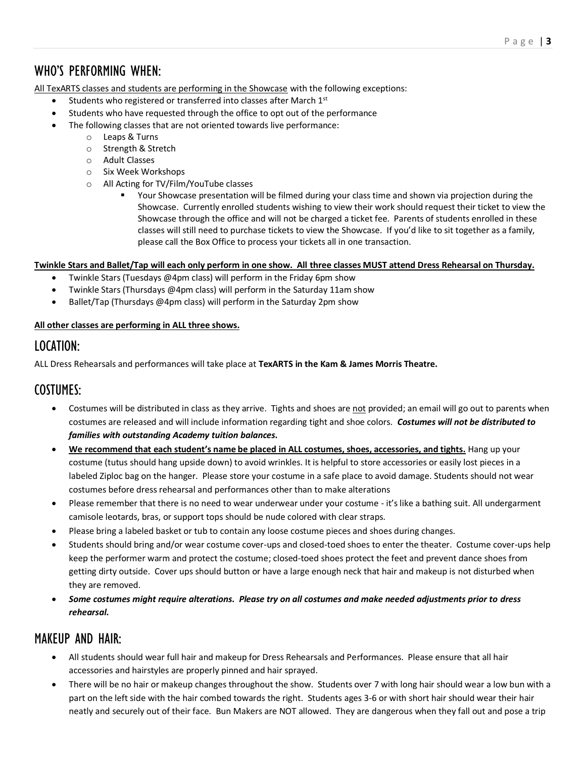### WHO'S PERFORMING WHEN:

All TexARTS classes and students are performing in the Showcase with the following exceptions:

- Students who registered or transferred into classes after March 1st
- Students who have requested through the office to opt out of the performance
	- The following classes that are not oriented towards live performance:
		- o Leaps & Turns
			- o Strength & Stretch
			- o Adult Classes
		- o Six Week Workshops
		- o All Acting for TV/Film/YouTube classes
			- Your Showcase presentation will be filmed during your class time and shown via projection during the Showcase. Currently enrolled students wishing to view their work should request their ticket to view the Showcase through the office and will not be charged a ticket fee. Parents of students enrolled in these classes will still need to purchase tickets to view the Showcase. If you'd like to sit together as a family, please call the Box Office to process your tickets all in one transaction.

#### **Twinkle Stars and Ballet/Tap will each only perform in one show. All three classes MUST attend Dress Rehearsal on Thursday.**

- Twinkle Stars (Tuesdays @4pm class) will perform in the Friday 6pm show
- Twinkle Stars (Thursdays @4pm class) will perform in the Saturday 11am show
- Ballet/Tap (Thursdays @4pm class) will perform in the Saturday 2pm show

#### **All other classes are performing in ALL three shows.**

### LOCATION:

ALL Dress Rehearsals and performances will take place at **TexARTS in the Kam & James Morris Theatre.**

### COSTUMES:

- Costumes will be distributed in class as they arrive. Tights and shoes are not provided; an email will go out to parents when costumes are released and will include information regarding tight and shoe colors. *Costumes will not be distributed to families with outstanding Academy tuition balances.*
- **We recommend that each student's name be placed in ALL costumes, shoes, accessories, and tights.** Hang up your costume (tutus should hang upside down) to avoid wrinkles. It is helpful to store accessories or easily lost pieces in a labeled Ziploc bag on the hanger. Please store your costume in a safe place to avoid damage. Students should not wear costumes before dress rehearsal and performances other than to make alterations
- Please remember that there is no need to wear underwear under your costume it's like a bathing suit. All undergarment camisole leotards, bras, or support tops should be nude colored with clear straps.
- Please bring a labeled basket or tub to contain any loose costume pieces and shoes during changes.
- Students should bring and/or wear costume cover-ups and closed-toed shoes to enter the theater. Costume cover-ups help keep the performer warm and protect the costume; closed-toed shoes protect the feet and prevent dance shoes from getting dirty outside. Cover ups should button or have a large enough neck that hair and makeup is not disturbed when they are removed.
- *Some costumes might require alterations. Please try on all costumes and make needed adjustments prior to dress rehearsal.*

### MAKEUP AND HAIR:

- All students should wear full hair and makeup for Dress Rehearsals and Performances. Please ensure that all hair accessories and hairstyles are properly pinned and hair sprayed.
- There will be no hair or makeup changes throughout the show. Students over 7 with long hair should wear a low bun with a part on the left side with the hair combed towards the right. Students ages 3-6 or with short hair should wear their hair neatly and securely out of their face. Bun Makers are NOT allowed. They are dangerous when they fall out and pose a trip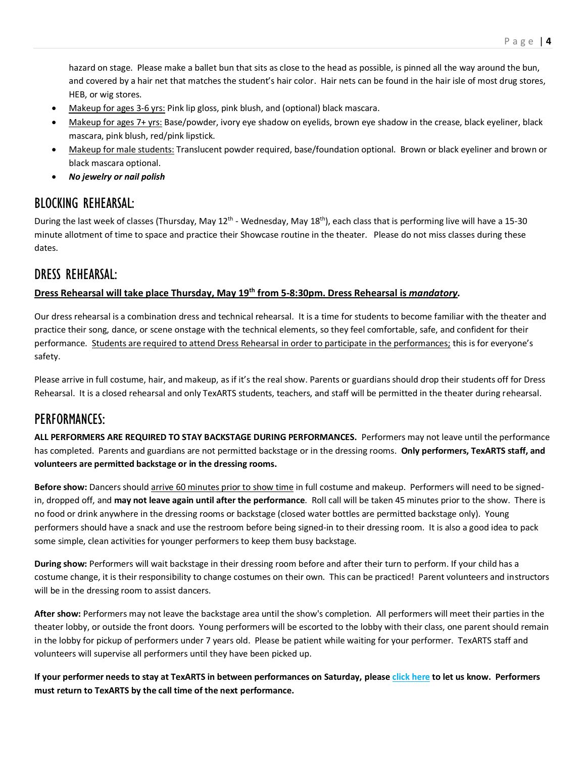P a g e | **4**

hazard on stage. Please make a ballet bun that sits as close to the head as possible, is pinned all the way around the bun, and covered by a hair net that matches the student's hair color. Hair nets can be found in the hair isle of most drug stores, HEB, or wig stores.

- Makeup for ages 3-6 yrs: Pink lip gloss, pink blush, and (optional) black mascara.
- Makeup for ages 7+ yrs: Base/powder, ivory eye shadow on eyelids, brown eye shadow in the crease, black eyeliner, black mascara, pink blush, red/pink lipstick.
- Makeup for male students: Translucent powder required, base/foundation optional. Brown or black eyeliner and brown or black mascara optional.
- *No jewelry or nail polish*

### BLOCKING REHEARSAL:

During the last week of classes (Thursday, May 12<sup>th</sup> - Wednesday, May 18<sup>th</sup>), each class that is performing live will have a 15-30 minute allotment of time to space and practice their Showcase routine in the theater. Please do not miss classes during these dates.

#### DRESS REHEARSAL:

#### **Dress Rehearsal will take place Thursday, May 19th from 5-8:30pm. Dress Rehearsal is** *mandatory.*

Our dress rehearsal is a combination dress and technical rehearsal. It is a time for students to become familiar with the theater and practice their song, dance, or scene onstage with the technical elements, so they feel comfortable, safe, and confident for their performance. Students are required to attend Dress Rehearsal in order to participate in the performances; this is for everyone's safety.

Please arrive in full costume, hair, and makeup, as if it's the real show. Parents or guardians should drop their students off for Dress Rehearsal. It is a closed rehearsal and only TexARTS students, teachers, and staff will be permitted in the theater during rehearsal.

### PERFORMANCES:

**ALL PERFORMERS ARE REQUIRED TO STAY BACKSTAGE DURING PERFORMANCES.** Performers may not leave until the performance has completed. Parents and guardians are not permitted backstage or in the dressing rooms. **Only performers, TexARTS staff, and volunteers are permitted backstage or in the dressing rooms.** 

**Before show:** Dancers should arrive 60 minutes prior to show time in full costume and makeup. Performers will need to be signedin, dropped off, and **may not leave again until after the performance**. Roll call will be taken 45 minutes prior to the show. There is no food or drink anywhere in the dressing rooms or backstage (closed water bottles are permitted backstage only). Young performers should have a snack and use the restroom before being signed-in to their dressing room. It is also a good idea to pack some simple, clean activities for younger performers to keep them busy backstage.

**During show:** Performers will wait backstage in their dressing room before and after their turn to perform. If your child has a costume change, it is their responsibility to change costumes on their own. This can be practiced! Parent volunteers and instructors will be in the dressing room to assist dancers.

**After show:** Performers may not leave the backstage area until the show's completion. All performers will meet their parties in the theater lobby, or outside the front doors. Young performers will be escorted to the lobby with their class, one parent should remain in the lobby for pickup of performers under 7 years old. Please be patient while waiting for your performer. TexARTS staff and volunteers will supervise all performers until they have been picked up.

**If your performer needs to stay at TexARTS in between performances on Saturday, please [click here](https://forms.gle/ZNGfRVyZWi9Y2XVF9) to let us know. Performers must return to TexARTS by the call time of the next performance.**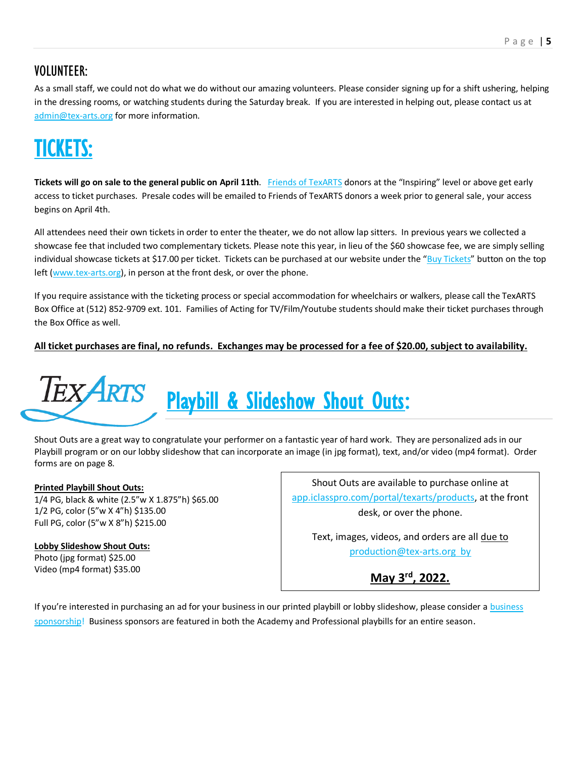### VOLUNTEER:

As a small staff, we could not do what we do without our amazing volunteers. Please consider signing up for a shift ushering, helping in the dressing rooms, or watching students during the Saturday break. If you are interested in helping out, please contact us at [admin@tex-arts.org](mailto:admin@tex-arts.org) for more information.

# [TICKETS:](https://www.tex-arts.org/upcoming-productions/)

**Tickets will go on sale to the general public on April 11th**. [Friends of TexARTS](https://www.tex-arts.org/support/friends-of-texarts/) donors at the "Inspiring" level or above get early access to ticket purchases. Presale codes will be emailed to Friends of TexARTS donors a week prior to general sale, your access begins on April 4th.

All attendees need their own tickets in order to enter the theater, we do not allow lap sitters. In previous years we collected a showcase fee that included two complementary tickets. Please note this year, in lieu of the \$60 showcase fee, we are simply selling individual showcase tickets at \$17.00 per ticket. Tickets can be purchased at our website under the "[Buy Tickets](https://www.tex-arts.org/upcoming-productions/)" button on the top left [\(www.tex-arts.org\)](https://www.tex-arts.org/upcoming-productions/), in person at the front desk, or over the phone.

If you require assistance with the ticketing process or special accommodation for wheelchairs or walkers, please call the TexARTS Box Office at (512) 852-9709 ext. 101. Families of Acting for TV/Film/Youtube students should make their ticket purchases through the Box Office as well.

**All ticket purchases are final, no refunds. Exchanges may be processed for a fee of \$20.00, subject to availability.** 

# **TEXARTS** [Playbill & Slideshow Shout Outs:](https://app.iclasspro.com/portal/texarts/products/category/shout-outs?viewMode=grid)

Shout Outs are a great way to congratulate your performer on a fantastic year of hard work. They are personalized ads in our Playbill program or on our lobby slideshow that can incorporate an image (in jpg format), text, and/or video (mp4 format). Order forms are on page 8.

#### **Printed Playbill Shout Outs:**

1/4 PG, black & white (2.5"w X 1.875"h) \$65.00 1/2 PG, color (5"w X 4"h) \$135.00 Full PG, color (5"w X 8"h) \$215.00

### **Lobby Slideshow Shout Outs:**

Photo (jpg format) \$25.00 Video (mp4 format) \$35.00

Shout Outs are available to purchase online at [app.iclasspro.com/portal/texarts/products,](https://app.iclasspro.com/portal/texarts/products) at the front desk, or over the phone.

Text, images, videos, and orders are all due to production@tex-arts.org by

**May 3rd, 2022.**

If you're interested in purchasing an ad for your [business](https://www.tex-arts.org/support/business-sponsorship/) in our printed playbill or lobby slideshow, please consider a business [sponsorship!](https://www.tex-arts.org/support/business-sponsorship/) Business sponsors are featured in both the Academy and Professional playbills for an entire season.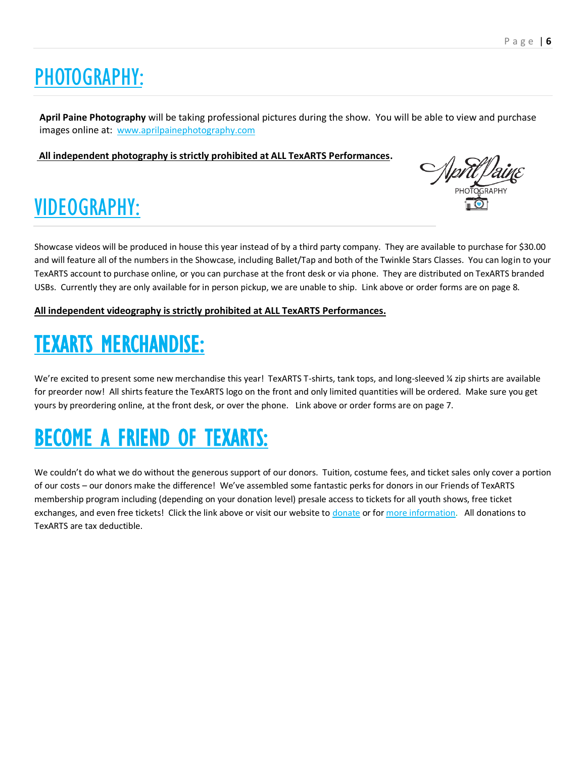# [PHOTOGRAPHY:](https://www.aprilpainephotography.com/)

**April Paine Photography** will be taking professional pictures during the show. You will be able to view and purchase images online at: [www.aprilpainephotography.com](http://www.aprilpainephotography.com/)

**All independent photography is strictly prohibited at ALL TexARTS Performances.** 

# [VIDEOGRAPHY:](https://app.iclasspro.com/portal/texarts/products/category/videos?viewMode=grid)

Showcase videos will be produced in house this year instead of by a third party company. They are available to purchase for \$30.00 and will feature all of the numbers in the Showcase, including Ballet/Tap and both of the Twinkle Stars Classes. You can login to your TexARTS account to purchase online, or you can purchase at the front desk or via phone. They are distributed on TexARTS branded USBs. Currently they are only available for in person pickup, we are unable to ship. Link above or order forms are on page 8.

#### **All independent videography is strictly prohibited at ALL TexARTS Performances.**

# [TEXARTS MERCHANDISE:](https://app.iclasspro.com/portal/texarts/products/category/t-shirts?viewMode=grid)

We're excited to present some new merchandise this year! TexARTS T-shirts, tank tops, and long-sleeved ¼ zip shirts are available for preorder now! All shirts feature the TexARTS logo on the front and only limited quantities will be ordered. Make sure you get yours by preordering online, at the front desk, or over the phone. Link above or order forms are on page 7.

# [BECOME A FRIEND OF TEXARTS:](https://www.tex-arts.org/support/friends-of-texarts/)

We couldn't do what we do without the generous support of our donors. Tuition, costume fees, and ticket sales only cover a portion of our costs – our donors make the difference! We've assembled some fantastic perks for donors in our Friends of TexARTS membership program including (depending on your donation level) presale access to tickets for all youth shows, free ticket exchanges, and even free tickets! Click the link above or visit our website to [donate](https://www.tex-arts.org/support/friends-of-texarts/) or fo[r more information.](https://www.tex-arts.org/support/friends-of-texarts/) All donations to TexARTS are tax deductible.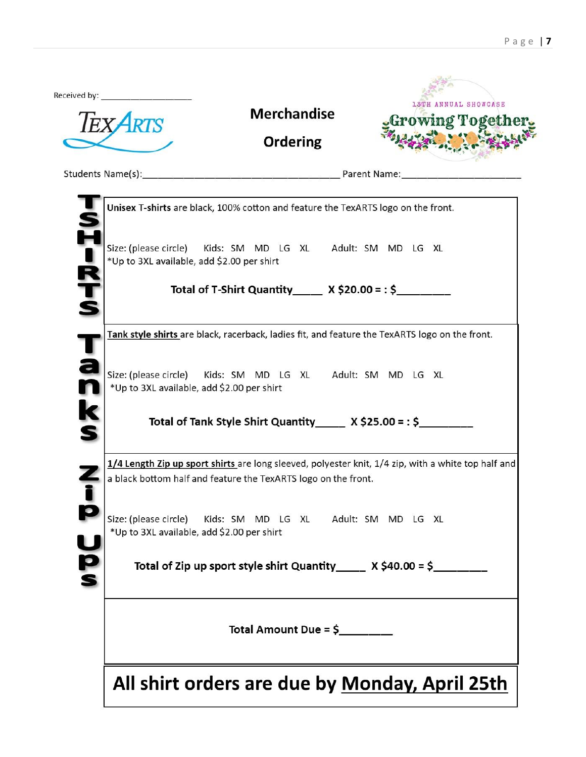| <b>Merchandise</b><br><b>Ordering</b>                                                                    | ANNUAL SHOWCASE<br>Growing Together.                                                                |
|----------------------------------------------------------------------------------------------------------|-----------------------------------------------------------------------------------------------------|
|                                                                                                          | Students Name(s): Parent Name: Parent Name:                                                         |
| Unisex T-shirts are black, 100% cotton and feature the TexARTS logo on the front.                        |                                                                                                     |
| Size: (please circle) Kids: SM MD LG XL Adult: SM MD LG XL<br>*Up to 3XL available, add \$2.00 per shirt |                                                                                                     |
| Total of T-Shirt Quantity $X$ \$20.00 = : \$                                                             |                                                                                                     |
|                                                                                                          | Tank style shirts are black, racerback, ladies fit, and feature the TexARTS logo on the front.      |
| Size: (please circle) Kids: SM MD LG XL Adult: SM MD LG XL<br>*Up to 3XL available, add \$2.00 per shirt |                                                                                                     |
| Total of Tank Style Shirt Quantity ______ X \$25.00 = : \$_________                                      |                                                                                                     |
| a black bottom half and feature the TexARTS logo on the front.                                           | 1/4 Length Zip up sport shirts are long sleeved, polyester knit, 1/4 zip, with a white top half and |
| Size: (please circle) Kids: SM MD LG XL Adult: SM MD LG XL<br>*Up to 3XL available, add \$2.00 per shirt |                                                                                                     |
| Total of Zip up sport style shirt Quantity $X$ \$40.00 = \$                                              |                                                                                                     |
|                                                                                                          |                                                                                                     |
|                                                                                                          |                                                                                                     |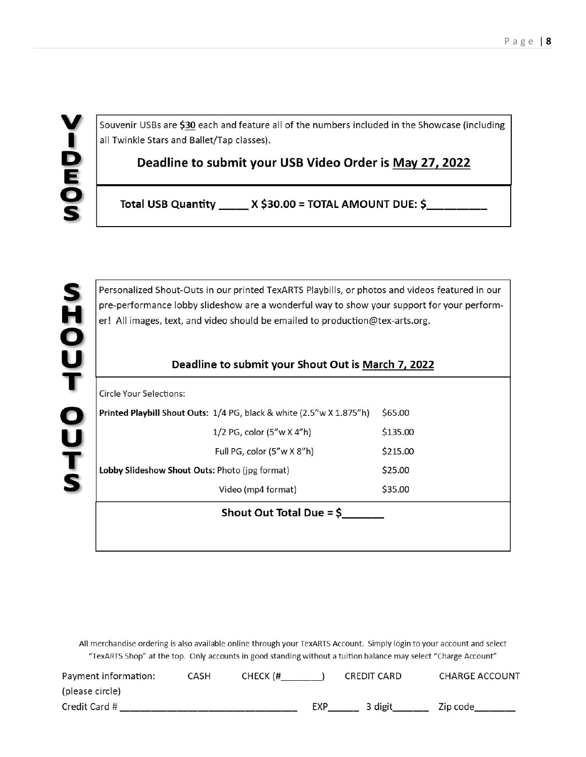Souvenir USBs are \$30 each and feature all of the numbers included in the Showcase (including all Twinkle Stars and Ballet/Tap classes).

Deadline to submit your USB Video Order is May 27, 2022

Total USB Quantity \_\_\_\_\_ X \$30.00 = TOTAL AMOUNT DUE: \$

Personalized Shout-Outs in our printed TexARTS Playbills, or photos and videos featured in our pre-performance lobby slideshow are a wonderful way to show your support for your performer! All images, text, and video should be emailed to production@tex-arts.org.

#### Deadline to submit your Shout Out is March 7, 2022

| Shout Out Total Due = $$$                                            |          |  |  |  |
|----------------------------------------------------------------------|----------|--|--|--|
| Video (mp4 format)                                                   | \$35.00  |  |  |  |
| Lobby Slideshow Shout Outs: Photo (jpg format)                       | \$25.00  |  |  |  |
| Full PG, color (5"w X 8"h)                                           | \$215.00 |  |  |  |
| 1/2 PG, color (5"w X 4"h)                                            | \$135.00 |  |  |  |
| Printed Playbill Shout Outs: 1/4 PG, black & white (2.5"w X 1.875"h) | \$65,00  |  |  |  |
| Circle Your Selections:                                              |          |  |  |  |
|                                                                      |          |  |  |  |

All merchandise ordering is also available online through your TexARTS Account. Simply login to your account and select "TexARTS Shop" at the top. Only accounts in good standing without a tuition balance may select "Charge Account"

| Payment information: | CASH | CHECK (# |     | CREDIT CARD | <b>CHARGE ACCOUNT</b> |
|----------------------|------|----------|-----|-------------|-----------------------|
| (please circle)      |      |          |     |             |                       |
| Credit Card #        |      |          | EXP | 3 digit     | Zip code              |